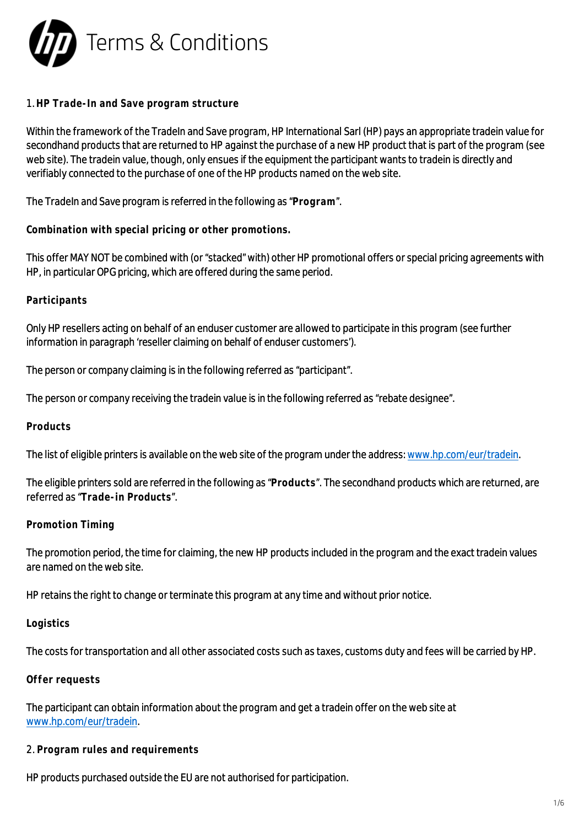

### 1. **HP Trade-In and Save program structure**

Within the framework of the TradeIn and Save program, HP International Sarl (HP) pays an appropriate tradein value for secondhand products that are returned to HP against the purchase of a new HP product that is part of the program (see web site). The tradein value, though, only ensues if the equipment the participant wants to tradein is directly and verifiably connected to the purchase of one of the HP products named on the web site.

The TradeIn and Save program is referred in the following as "**Program**".

**Combination with special pricing or other promotions.**

This offer MAY NOT be combined with (or "stacked" with) other HP promotional offers or special pricing agreements with HP, in particular OPG pricing, which are offered during the same period.

## **Participants**

Only HP resellers acting on behalf of an enduser customer are allowed to participate in this program (see further information in paragraph 'reseller claiming on behalf of enduser customers').

The person or company claiming is in the following referred as "participant".

The person or company receiving the tradein value is in the following referred as "rebate designee".

### **Products**

The list of eligible printers is available on the web site of the program under the address: [www.hp.com/eur/tradein](http://www.hp.com/eur/tradein).

The eligible printers sold are referred in the following as "**Products**". The secondhand products which are returned, are referred as "**Trade-in Products**".

### **Promotion Timing**

The promotion period, the time for claiming, the new HP products included in the program and the exact tradein values are named on the web site.

HP retains the right to change or terminate this program at any time and without prior notice.

### **Logistics**

The costs for transportation and all other associated costs such as taxes, customs duty and fees will be carried by HP.

### **Offer requests**

The participant can obtain information about the program and get a tradein offer on the web site at [www.hp.com/eur/tradein.](http://www.hp.com/eur/tradein)

2. **Program rules and requirements**

HP products purchased outside the EU are not authorised for participation.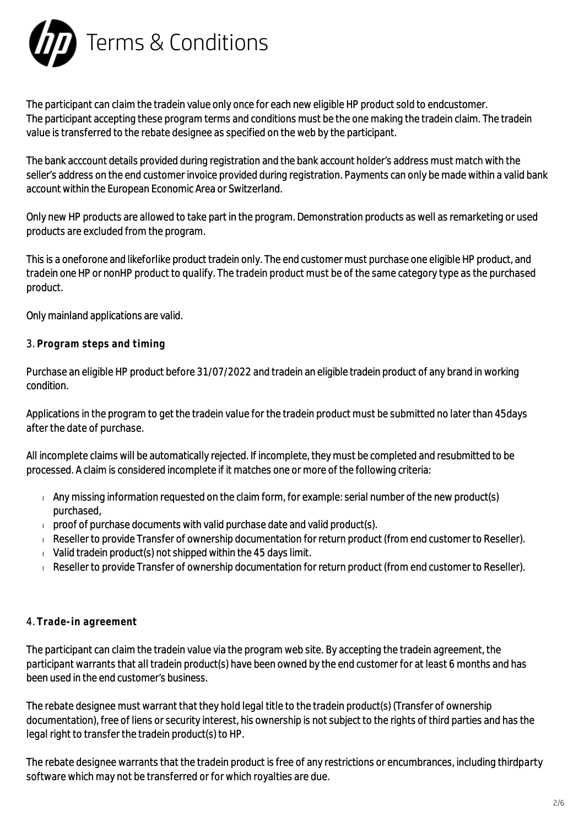

The participant can claim the tradein value only once for each new eligible HP product sold to endcustomer. The participant accepting these program terms and conditions must be the one making the tradein claim. The tradein value is transferred to the rebate designee as specified on the web by the participant.

The bank acccount details provided during registration and the bank account holder's address must match with the seller's address on the end customer invoice provided during registration. Payments can only be made within a valid bank account within the European Economic Area or Switzerland.

Only new HP products are allowed to take part in the program. Demonstration products as well as remarketing or used products are excluded from the program.

This is a oneforone and likeforlike product tradein only. The end customer must purchase one eligible HP product, and tradein one HP or nonHP product to qualify. The tradein product must be of the same category type as the purchased product.

Only mainland applications are valid.

# 3. **Program steps and timing**

Purchase an eligible HP product before 31/07/2022 and tradein an eligible tradein product of any brand in working condition.

Applications in the program to get the tradein value for the tradein product must be submitted no later than 45days after the date of purchase.

All incomplete claims will be automatically rejected. If incomplete, they must be completed and resubmitted to be processed. A claim is considered incomplete if it matches one or more of the following criteria:

- $\Box$  Any missing information requested on the claim form, for example: serial number of the new product(s) purchased,
- $\Box$  proof of purchase documents with valid purchase date and valid product(s).
- Reseller to provide Transfer of ownership documentation for return product (from end customer to Reseller).
- $\sqrt{v}$  Valid tradein product(s) not shipped within the 45 days limit.
- Reseller to provide Transfer of ownership documentation for return product (from end customer to Reseller).

# 4. **Trade-in agreement**

The participant can claim the tradein value via the program web site. By accepting the tradein agreement, the participant warrants that all tradein product(s) have been owned by the end customer for at least 6 months and has been used in the end customer's business.

The rebate designee must warrant that they hold legal title to the tradein product(s) (Transfer of ownership documentation), free of liens or security interest, his ownership is not subject to the rights of third parties and has the legal right to transfer the tradein product(s) to HP.

The rebate designee warrants that the tradein product is free of any restrictions or encumbrances, including thirdparty software which may not be transferred or for which royalties are due.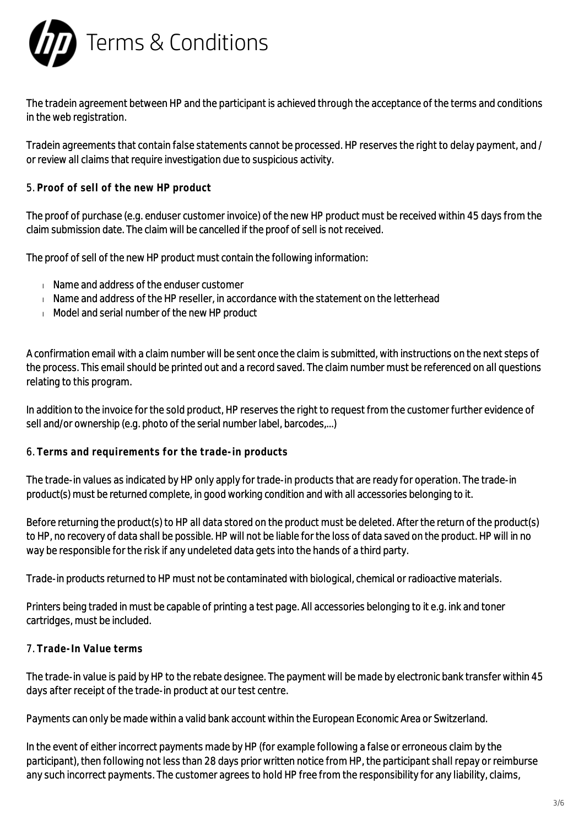

The tradein agreement between HP and the participant is achieved through the acceptance of the terms and conditions in the web registration.

Tradein agreements that contain false statements cannot be processed. HP reserves the right to delay payment, and / or review all claims that require investigation due to suspicious activity.

5. **Proof of sell of the new HP product**

The proof of purchase (e.g. enduser customer invoice) of the new HP product must be received within 45 days from the claim submission date. The claim will be cancelled if the proof of sell is not received.

The proof of sell of the new HP product must contain the following information:

- **Name and address of the enduser customer**
- $\blacksquare$  Name and address of the HP reseller, in accordance with the statement on the letterhead
- Model and serial number of the new HP product

A confirmation email with a claim number will be sent once the claim is submitted, with instructions on the next steps of the process. This email should be printed out and a record saved. The claim number must be referenced on all questions relating to this program.

In addition to the invoice for the sold product, HP reserves the right to request from the customer further evidence of sell and/or ownership (e.g. photo of the serial number label, barcodes,...)

### 6. **Terms and requirements for the trade-in products**

The trade-in values as indicated by HP only apply for trade-in products that are ready for operation. The trade-in product(s) must be returned complete, in good working condition and with all accessories belonging to it.

Before returning the product(s) to HP all data stored on the product must be deleted. After the return of the product(s) to HP, no recovery of data shall be possible. HP will not be liable for the loss of data saved on the product. HP will in no way be responsible for the risk if any undeleted data gets into the hands of a third party.

Trade-in products returned to HP must not be contaminated with biological, chemical or radioactive materials.

Printers being traded in must be capable of printing a test page. All accessories belonging to it e.g. ink and toner cartridges, must be included.

# 7. **Trade-In Value terms**

The trade-in value is paid by HP to the rebate designee. The payment will be made by electronic bank transfer within 45 days after receipt of the trade-in product at our test centre.

Payments can only be made within a valid bank account within the European Economic Area or Switzerland.

In the event of either incorrect payments made by HP (for example following a false or erroneous claim by the participant), then following not less than 28 days prior written notice from HP, the participant shall repay or reimburse any such incorrect payments. The customer agrees to hold HP free from the responsibility for any liability, claims,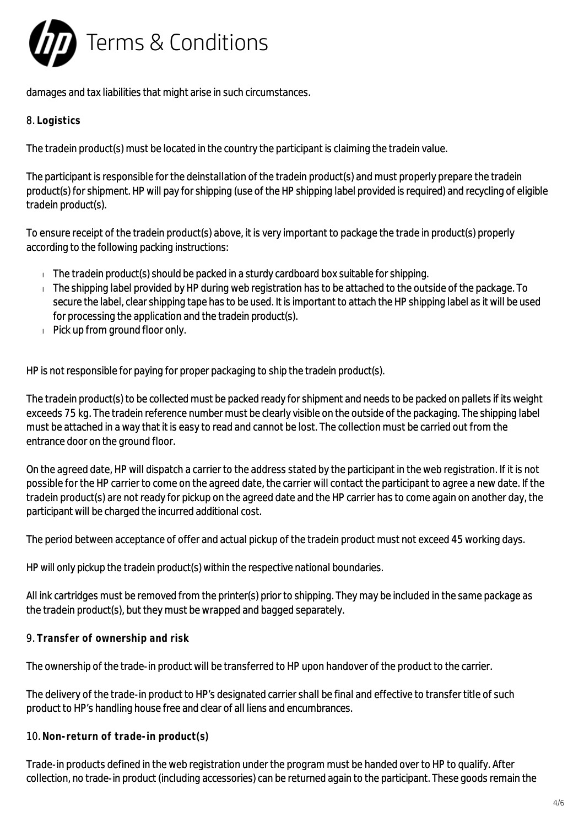

damages and tax liabilities that might arise in such circumstances.

# 8. **Logistics**

The tradein product(s) must be located in the country the participant is claiming the tradein value.

The participant is responsible for the deinstallation of the tradein product(s) and must properly prepare the tradein product(s) for shipment. HP will pay for shipping (use of the HP shipping label provided is required) and recycling of eligible tradein product(s).

To ensure receipt of the tradein product(s) above, it is very important to package the trade in product(s) properly according to the following packing instructions:

- $\Box$  The tradein product(s) should be packed in a sturdy cardboard box suitable for shipping.
- $\Box$  The shipping label provided by HP during web registration has to be attached to the outside of the package. To secure the label, clear shipping tape has to be used. It is important to attach the HP shipping label as it will be used for processing the application and the tradein product(s).
- $\Box$  Pick up from ground floor only.

HP is not responsible for paying for proper packaging to ship the tradein product(s).

The tradein product(s) to be collected must be packed ready for shipment and needs to be packed on pallets if its weight exceeds 75 kg. The tradein reference number must be clearly visible on the outside of the packaging. The shipping label must be attached in a way that it is easy to read and cannot be lost. The collection must be carried out from the entrance door on the ground floor.

On the agreed date, HP will dispatch a carrier to the address stated by the participant in the web registration. If it is not possible for the HP carrier to come on the agreed date, the carrier will contact the participant to agree a new date. If the tradein product(s) are not ready for pickup on the agreed date and the HP carrier has to come again on another day, the participant will be charged the incurred additional cost.

The period between acceptance of offer and actual pickup of the tradein product must not exceed 45 working days.

HP will only pickup the tradein product(s) within the respective national boundaries.

All ink cartridges must be removed from the printer(s) prior to shipping. They may be included in the same package as the tradein product(s), but they must be wrapped and bagged separately.

9. **Transfer of ownership and risk**

The ownership of the trade-in product will be transferred to HP upon handover of the product to the carrier.

The delivery of the trade-in product to HP's designated carrier shall be final and effective to transfer title of such product to HP's handling house free and clear of all liens and encumbrances.

10. **Non-return of trade-in product(s)**

Trade-in products defined in the web registration under the program must be handed over to HP to qualify. After collection, no trade-in product (including accessories) can be returned again to the participant. These goods remain the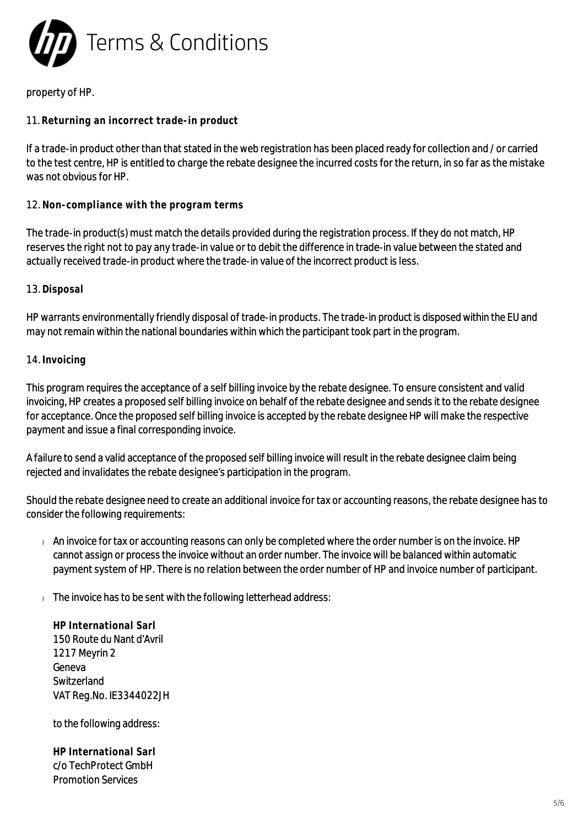

### property of HP.

## 11. **Returning an incorrect trade-in product**

If a trade-in product other than that stated in the web registration has been placed ready for collection and / or carried to the test centre, HP is entitled to charge the rebate designee the incurred costs for the return, in so far as the mistake was not obvious for HP.

### 12. **Non-compliance with the program terms**

The trade-in product(s) must match the details provided during the registration process. If they do not match, HP reserves the right not to pay any trade-in value or to debit the difference in trade-in value between the stated and actually received trade-in product where the trade-in value of the incorrect product is less.

#### 13. **Disposal**

HP warrants environmentally friendly disposal of trade-in products. The trade-in product is disposed within the EU and may not remain within the national boundaries within which the participant took part in the program.

#### 14. **Invoicing**

This program requires the acceptance of a self billing invoice by the rebate designee. To ensure consistent and valid invoicing, HP creates a proposed self billing invoice on behalf of the rebate designee and sends it to the rebate designee for acceptance. Once the proposed self billing invoice is accepted by the rebate designee HP will make the respective payment and issue a final corresponding invoice.

A failure to send a valid acceptance of the proposed self billing invoice will result in the rebate designee claim being rejected and invalidates the rebate designee's participation in the program.

Should the rebate designee need to create an additional invoice for tax or accounting reasons, the rebate designee has to consider the following requirements:

- An invoice for tax or accounting reasons can only be completed where the order number is on the invoice. HP cannot assign or process the invoice without an order number. The invoice will be balanced within automatic payment system of HP. There is no relation between the order number of HP and invoice number of participant.
- $\Box$  The invoice has to be sent with the following letterhead address:

**HP International Sarl** 150 Route du Nant d'Avril 1217 Meyrin 2 Geneva Switzerland VAT Reg.No. IE3344022JH

to the following address:

**HP International Sarl** c/o TechProtect GmbH Promotion Services